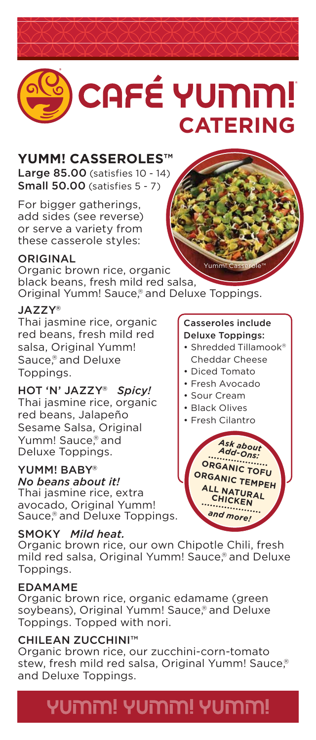# CAFÉ YUMM! **CATERING**

# **YUMM! CASSEROLES™**

Large 85.00 (satisfies 10 - 14) Small 50.00 (satisfies 5 - 7)

For bigger gatherings, add sides (see reverse) or serve a variety from these casserole styles:

#### **ORIGINAL**

Yumm! Casserole™ Organic brown rice, organic black beans, fresh mild red salsa, Original Yumm! Sauce, ® and Deluxe Toppings.

### JAZZY®

Thai jasmine rice, organic red beans, fresh mild red salsa, Original Yumm! Sauce, ® and Deluxe Toppings.

### HOT 'N' JAZZY® *Spicy!*

Thai jasmine rice, organic red beans, Jalapeño Sesame Salsa, Original Yumm! Sauce,<sup>®</sup> and Deluxe Toppings.

### YUMM! BABY®

### *No beans about it!*

Thai jasmine rice, extra avocado, Original Yumm! Sauce, ® and Deluxe Toppings.

### SMOKY *Mild heat.*

Organic brown rice, our own Chipotle Chili, fresh mild red salsa, Original Yumm! Sauce, ® and Deluxe Toppings.

### EDAMAME

Organic brown rice, organic edamame (green soybeans), Original Yumm! Sauce, ® and Deluxe Toppings. Topped with nori.

### CHILEAN ZUCCHINI™

Organic brown rice, our zucchini-corn-tomato stew, fresh mild red salsa, Original Yumm! Sauce, ® and Deluxe Toppings.

# יממטש יהמטש יהמטש

#### Casseroles include Deluxe Toppings:

- Shredded Tillamook® Cheddar Cheese
- Diced Tomato
- Fresh Avocado
- Sour Cream
- Black Olives
- Fresh Cilantro